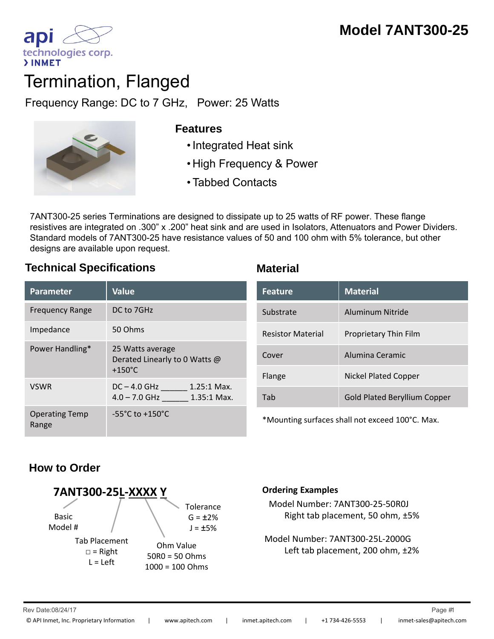

# Termination, Flanged

Frequency Range: DC to 7 GHz, Power: 25 Watts



## **Features**

- 
- High Frequency & Power
- Tabbed Contacts

7ANT300-25 series Terminations are designed to dissipate up to 25 watts of RF power. These flange resistives are integrated on .300" x .200" heat sink and are used in Isolators, Attenuators and Power Dividers. Standard models of 7ANT300-25 have resistance values of 50 and 100 ohm with 5% tolerance, but other designs are available upon request.

# **Technical Specifications Material**

| <b>Parameter</b>               | <b>Value</b>                                                          |
|--------------------------------|-----------------------------------------------------------------------|
| <b>Frequency Range</b>         | DC to 7GHz                                                            |
| Impedance                      | 50 Ohms                                                               |
| Power Handling*                | 25 Watts average<br>Derated Linearly to 0 Watts @<br>$+150^{\circ}$ C |
| <b>VSWR</b>                    | $1.25:1$ Max.<br>$DC - 4.0$ GHz<br>$4.0 - 7.0$ GHz<br>1.35:1 Max.     |
| <b>Operating Temp</b><br>Range | $-55^{\circ}$ C to $+150^{\circ}$ C                                   |

|                                                           | <b>Feature</b>           | <b>Material</b>                     |
|-----------------------------------------------------------|--------------------------|-------------------------------------|
|                                                           | Substrate                | Aluminum Nitride                    |
| age<br>rly to 0 Watts @<br>$1.25:1$ Max.<br>$1.35:1$ Max. | <b>Resistor Material</b> | Proprietary Thin Film               |
|                                                           | Cover                    | Alumina Ceramic                     |
|                                                           | Flange                   | <b>Nickel Plated Copper</b>         |
|                                                           | Tab                      | <b>Gold Plated Beryllium Copper</b> |

\*Mounting surfaces shall not exceed 100°C. Max.

# **How to Order**



### **Ordering Examples**

Model Number: 7ANT300‐25‐50R0J Right tab placement, 50 ohm, ±5%

Model Number: 7ANT300‐25L‐2000G Left tab placement, 200 ohm, ±2%